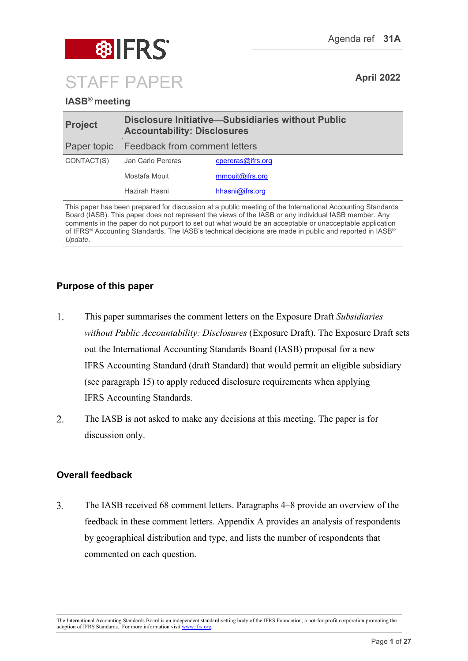

## **IASB® meeting**

| <b>Project</b> | <b>Disclosure Initiative-Subsidiaries without Public</b><br><b>Accountability: Disclosures</b> |                   |  |
|----------------|------------------------------------------------------------------------------------------------|-------------------|--|
|                | Paper topic Feedback from comment letters                                                      |                   |  |
| CONTACT(S)     | Jan Carlo Pereras                                                                              | cpereras@ifrs.org |  |
|                | Mostafa Mouit                                                                                  | mmouit@ifrs.org   |  |
|                | Hazirah Hasni                                                                                  | hhasni@ifrs.org   |  |

This paper has been prepared for discussion at a public meeting of the International Accounting Standards Board (IASB). This paper does not represent the views of the IASB or any individual IASB member. Any comments in the paper do not purport to set out what would be an acceptable or unacceptable application of IFRS® Accounting Standards. The IASB's technical decisions are made in public and reported in IASB® *Update*.

## **Purpose of this paper**

- $1.$ This paper summarises the comment letters on the Exposure Draft *Subsidiaries without Public Accountability: Disclosures* (Exposure Draft). The Exposure Draft sets out the International Accounting Standards Board (IASB) proposal for a new IFRS Accounting Standard (draft Standard) that would permit an eligible subsidiary (see paragraph [15\)](#page-4-0) to apply reduced disclosure requirements when applying IFRS Accounting Standards.
- $\overline{2}$ . The IASB is not asked to make any decisions at this meeting. The paper is for discussion only.

## **Overall feedback**

 $3.$ The IASB received 68 comment letters. Paragraphs [4–](#page-1-0)[8](#page-1-1) provide an overview of the feedback in these comment letters. Appendix A provides an analysis of respondents by geographical distribution and type, and lists the number of respondents that commented on each question.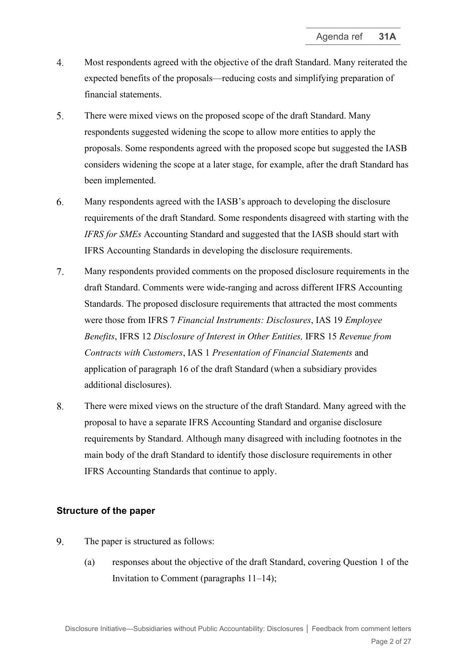- <span id="page-1-0"></span>4. Most respondents agreed with the objective of the draft Standard. Many reiterated the expected benefits of the proposals—reducing costs and simplifying preparation of financial statements.
- 5. There were mixed views on the proposed scope of the draft Standard. Many respondents suggested widening the scope to allow more entities to apply the proposals. Some respondents agreed with the proposed scope but suggested the IASB considers widening the scope at a later stage, for example, after the draft Standard has been implemented.
- 6. Many respondents agreed with the IASB's approach to developing the disclosure requirements of the draft Standard. Some respondents disagreed with starting with the *IFRS for SMEs* Accounting Standard and suggested that the IASB should start with IFRS Accounting Standards in developing the disclosure requirements.
- $7<sup>1</sup>$ Many respondents provided comments on the proposed disclosure requirements in the draft Standard. Comments were wide-ranging and across different IFRS Accounting Standards. The proposed disclosure requirements that attracted the most comments were those from IFRS 7 *Financial Instruments: Disclosures*, IAS 19 *Employee Benefits*, IFRS 12 *Disclosure of Interest in Other Entities,* IFRS 15 *Revenue from Contracts with Customers*, IAS 1 *Presentation of Financial Statements* and application of paragraph 16 of the draft Standard (when a subsidiary provides additional disclosures).
- <span id="page-1-1"></span>8. There were mixed views on the structure of the draft Standard. Many agreed with the proposal to have a separate IFRS Accounting Standard and organise disclosure requirements by Standard. Although many disagreed with including footnotes in the main body of the draft Standard to identify those disclosure requirements in other IFRS Accounting Standards that continue to apply.

#### **Structure of the paper**

- 9. The paper is structured as follows:
	- (a) responses about the objective of the draft Standard, covering Question 1 of the Invitation to Comment (paragraphs [11–](#page-2-0)[14\)](#page-3-0);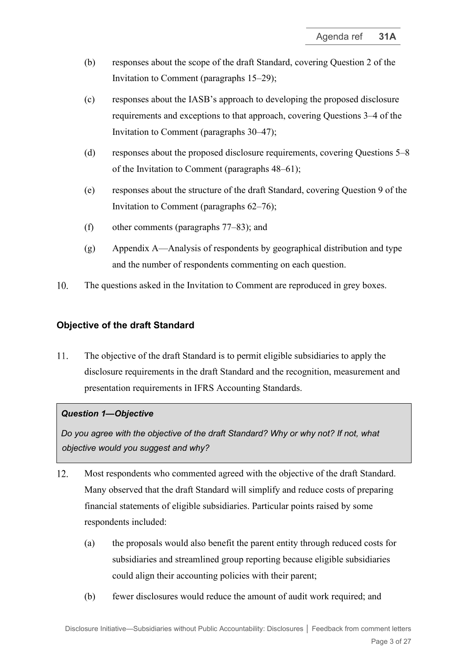- (b) responses about the scope of the draft Standard, covering Question 2 of the Invitation to Comment (paragraphs [15–](#page-4-0)[29\)](#page-8-0);
- (c) responses about the IASB's approach to developing the proposed disclosure requirements and exceptions to that approach, covering Questions 3–4 of the Invitation to Comment (paragraphs [30–](#page-8-1)[47\)](#page-14-0);
- (d) responses about the proposed disclosure requirements, covering Questions 5–8 of the Invitation to Comment (paragraphs [48–](#page-14-1)[61\)](#page-18-0);
- (e) responses about the structure of the draft Standard, covering Question 9 of the Invitation to Comment (paragraphs [62–](#page-19-0)[76\)](#page-22-0);
- (f) other comments (paragraphs [77](#page-22-1)[–83\)](#page-24-0); and
- (g) Appendix A—Analysis of respondents by geographical distribution and type and the number of respondents commenting on each question.
- 10. The questions asked in the Invitation to Comment are reproduced in grey boxes.

## **Objective of the draft Standard**

<span id="page-2-0"></span>11. The objective of the draft Standard is to permit eligible subsidiaries to apply the disclosure requirements in the draft Standard and the recognition, measurement and presentation requirements in IFRS Accounting Standards.

#### *Question 1—Objective*

*Do you agree with the objective of the draft Standard? Why or why not? If not, what objective would you suggest and why?*

- <span id="page-2-1"></span>12. Most respondents who commented agreed with the objective of the draft Standard. Many observed that the draft Standard will simplify and reduce costs of preparing financial statements of eligible subsidiaries. Particular points raised by some respondents included:
	- (a) the proposals would also benefit the parent entity through reduced costs for subsidiaries and streamlined group reporting because eligible subsidiaries could align their accounting policies with their parent;
	- (b) fewer disclosures would reduce the amount of audit work required; and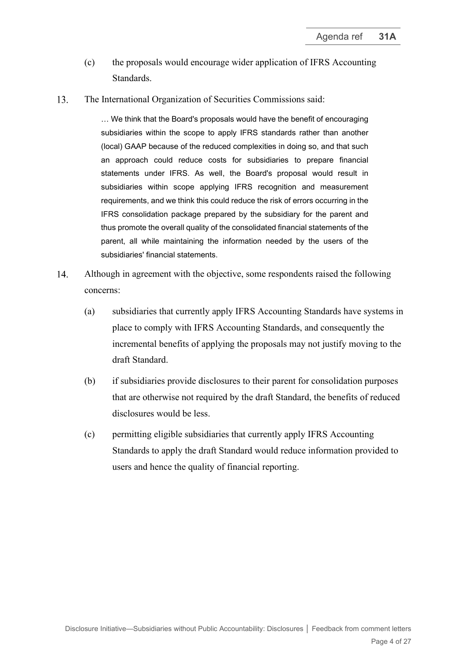- (c) the proposals would encourage wider application of IFRS Accounting Standards.
- 13. The International Organization of Securities Commissions said:

… We think that the Board's proposals would have the benefit of encouraging subsidiaries within the scope to apply IFRS standards rather than another (local) GAAP because of the reduced complexities in doing so, and that such an approach could reduce costs for subsidiaries to prepare financial statements under IFRS. As well, the Board's proposal would result in subsidiaries within scope applying IFRS recognition and measurement requirements, and we think this could reduce the risk of errors occurring in the IFRS consolidation package prepared by the subsidiary for the parent and thus promote the overall quality of the consolidated financial statements of the parent, all while maintaining the information needed by the users of the subsidiaries' financial statements.

- <span id="page-3-0"></span> $14.$ Although in agreement with the objective, some respondents raised the following concerns:
	- (a) subsidiaries that currently apply IFRS Accounting Standards have systems in place to comply with IFRS Accounting Standards, and consequently the incremental benefits of applying the proposals may not justify moving to the draft Standard.
	- (b) if subsidiaries provide disclosures to their parent for consolidation purposes that are otherwise not required by the draft Standard, the benefits of reduced disclosures would be less.
	- (c) permitting eligible subsidiaries that currently apply IFRS Accounting Standards to apply the draft Standard would reduce information provided to users and hence the quality of financial reporting.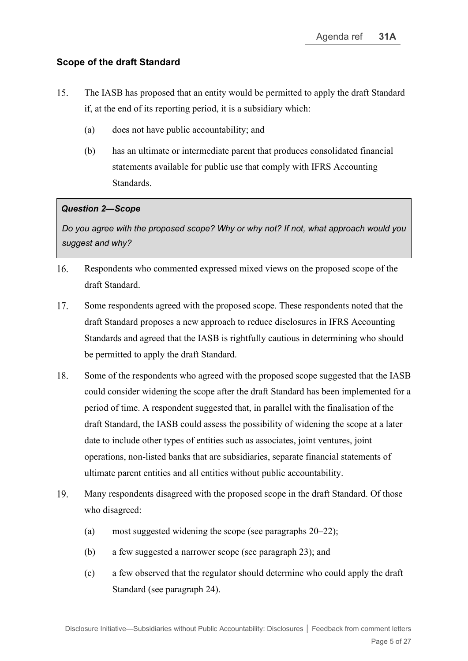## **Scope of the draft Standard**

- <span id="page-4-1"></span><span id="page-4-0"></span>15. The IASB has proposed that an entity would be permitted to apply the draft Standard if, at the end of its reporting period, it is a subsidiary which:
	- (a) does not have public accountability; and
	- (b) has an ultimate or intermediate parent that produces consolidated financial statements available for public use that comply with IFRS Accounting Standards.

## *Question 2—Scope*

*Do you agree with the proposed scope? Why or why not? If not, what approach would you suggest and why?*

- 16. Respondents who commented expressed mixed views on the proposed scope of the draft Standard.
- 17. Some respondents agreed with the proposed scope. These respondents noted that the draft Standard proposes a new approach to reduce disclosures in IFRS Accounting Standards and agreed that the IASB is rightfully cautious in determining who should be permitted to apply the draft Standard.
- 18. Some of the respondents who agreed with the proposed scope suggested that the IASB could consider widening the scope after the draft Standard has been implemented for a period of time. A respondent suggested that, in parallel with the finalisation of the draft Standard, the IASB could assess the possibility of widening the scope at a later date to include other types of entities such as associates, joint ventures, joint operations, non-listed banks that are subsidiaries, separate financial statements of ultimate parent entities and all entities without public accountability.
- 19. Many respondents disagreed with the proposed scope in the draft Standard. Of those who disagreed:
	- (a) most suggested widening the scope (see paragraphs [20](#page-5-0)[–22\)](#page-6-0);
	- (b) a few suggested a narrower scope (see paragraph [23\)](#page-6-1); and
	- (c) a few observed that the regulator should determine who could apply the draft Standard (see paragraph [24\)](#page-6-2).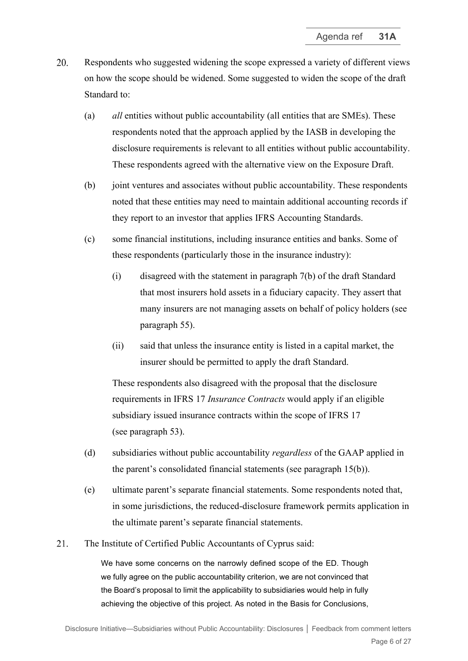- <span id="page-5-0"></span>20. Respondents who suggested widening the scope expressed a variety of different views on how the scope should be widened. Some suggested to widen the scope of the draft Standard to:
	- (a) *all* entities without public accountability (all entities that are SMEs). These respondents noted that the approach applied by the IASB in developing the disclosure requirements is relevant to all entities without public accountability. These respondents agreed with the alternative view on the Exposure Draft.
	- (b) joint ventures and associates without public accountability. These respondents noted that these entities may need to maintain additional accounting records if they report to an investor that applies IFRS Accounting Standards.
	- (c) some financial institutions, including insurance entities and banks. Some of these respondents (particularly those in the insurance industry):
		- (i) disagreed with the statement in paragraph 7(b) of the draft Standard that most insurers hold assets in a fiduciary capacity. They assert that many insurers are not managing assets on behalf of policy holders (see paragraph [55\)](#page-16-0).
		- (ii) said that unless the insurance entity is listed in a capital market, the insurer should be permitted to apply the draft Standard.

These respondents also disagreed with the proposal that the disclosure requirements in IFRS 17 *Insurance Contracts* would apply if an eligible subsidiary issued insurance contracts within the scope of IFRS 17 (see paragraph [53\)](#page-16-1).

- (d) subsidiaries without public accountability *regardless* of the GAAP applied in the parent's consolidated financial statements (see paragraph [15\(b\)\)](#page-4-1).
- (e) ultimate parent's separate financial statements. Some respondents noted that, in some jurisdictions, the reduced-disclosure framework permits application in the ultimate parent's separate financial statements.
- 21. The Institute of Certified Public Accountants of Cyprus said:

We have some concerns on the narrowly defined scope of the ED. Though we fully agree on the public accountability criterion, we are not convinced that the Board's proposal to limit the applicability to subsidiaries would help in fully achieving the objective of this project. As noted in the Basis for Conclusions,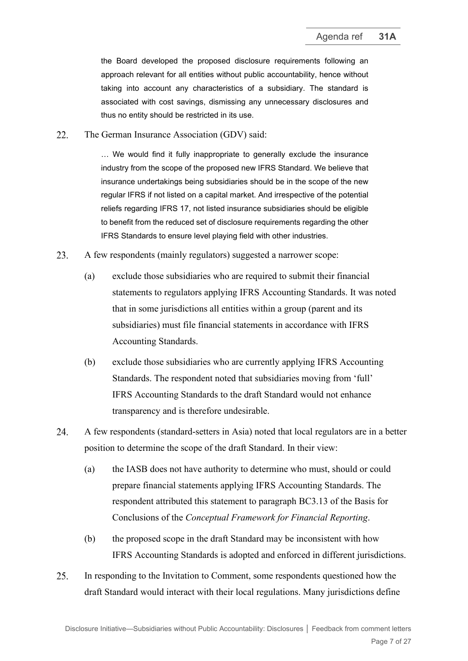the Board developed the proposed disclosure requirements following an approach relevant for all entities without public accountability, hence without taking into account any characteristics of a subsidiary. The standard is associated with cost savings, dismissing any unnecessary disclosures and thus no entity should be restricted in its use.

<span id="page-6-0"></span>22 The German Insurance Association (GDV) said:

> … We would find it fully inappropriate to generally exclude the insurance industry from the scope of the proposed new IFRS Standard. We believe that insurance undertakings being subsidiaries should be in the scope of the new regular IFRS if not listed on a capital market. And irrespective of the potential reliefs regarding IFRS 17, not listed insurance subsidiaries should be eligible to benefit from the reduced set of disclosure requirements regarding the other IFRS Standards to ensure level playing field with other industries.

- <span id="page-6-1"></span>23. A few respondents (mainly regulators) suggested a narrower scope:
	- (a) exclude those subsidiaries who are required to submit their financial statements to regulators applying IFRS Accounting Standards. It was noted that in some jurisdictions all entities within a group (parent and its subsidiaries) must file financial statements in accordance with IFRS Accounting Standards.
	- (b) exclude those subsidiaries who are currently applying IFRS Accounting Standards. The respondent noted that subsidiaries moving from 'full' IFRS Accounting Standards to the draft Standard would not enhance transparency and is therefore undesirable.
- <span id="page-6-2"></span>24. A few respondents (standard-setters in Asia) noted that local regulators are in a better position to determine the scope of the draft Standard. In their view:
	- (a) the IASB does not have authority to determine who must, should or could prepare financial statements applying IFRS Accounting Standards. The respondent attributed this statement to paragraph BC3.13 of the Basis for Conclusions of the *Conceptual Framework for Financial Reporting*.
	- (b) the proposed scope in the draft Standard may be inconsistent with how IFRS Accounting Standards is adopted and enforced in different jurisdictions.
- 25. In responding to the Invitation to Comment, some respondents questioned how the draft Standard would interact with their local regulations. Many jurisdictions define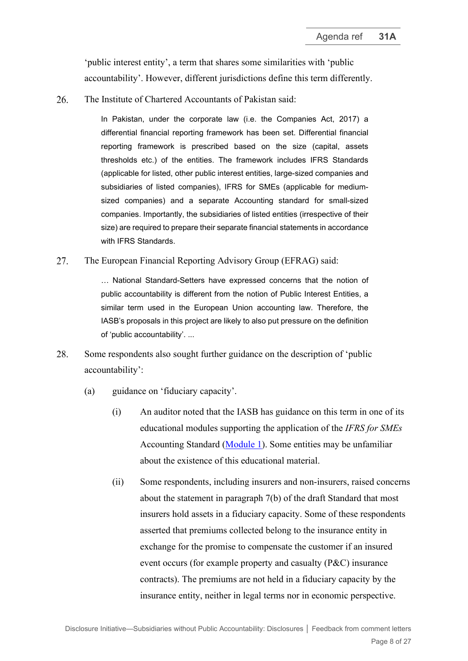'public interest entity', a term that shares some similarities with 'public accountability'. However, different jurisdictions define this term differently.

26. The Institute of Chartered Accountants of Pakistan said:

> In Pakistan, under the corporate law (i.e. the Companies Act, 2017) a differential financial reporting framework has been set. Differential financial reporting framework is prescribed based on the size (capital, assets thresholds etc.) of the entities. The framework includes IFRS Standards (applicable for listed, other public interest entities, large-sized companies and subsidiaries of listed companies), IFRS for SMEs (applicable for mediumsized companies) and a separate Accounting standard for small-sized companies. Importantly, the subsidiaries of listed entities (irrespective of their size) are required to prepare their separate financial statements in accordance with IFRS Standards.

27. The European Financial Reporting Advisory Group (EFRAG) said:

> … National Standard-Setters have expressed concerns that the notion of public accountability is different from the notion of Public Interest Entities, a similar term used in the European Union accounting law. Therefore, the IASB's proposals in this project are likely to also put pressure on the definition of 'public accountability'. ...

- 28. Some respondents also sought further guidance on the description of 'public accountability':
	- (a) guidance on 'fiduciary capacity'.
		- (i) An auditor noted that the IASB has guidance on this term in one of its educational modules supporting the application of the *IFRS for SMEs* Accounting Standard [\(Module](https://www.ifrs.org/content/dam/ifrs/supporting-implementation/smes/module-01.pdf) [1\)](https://www.ifrs.org/content/dam/ifrs/supporting-implementation/smes/module-01.pdf). Some entities may be unfamiliar about the existence of this educational material.
		- (ii) Some respondents, including insurers and non-insurers, raised concerns about the statement in paragraph 7(b) of the draft Standard that most insurers hold assets in a fiduciary capacity. Some of these respondents asserted that premiums collected belong to the insurance entity in exchange for the promise to compensate the customer if an insured event occurs (for example property and casualty (P&C) insurance contracts). The premiums are not held in a fiduciary capacity by the insurance entity, neither in legal terms nor in economic perspective.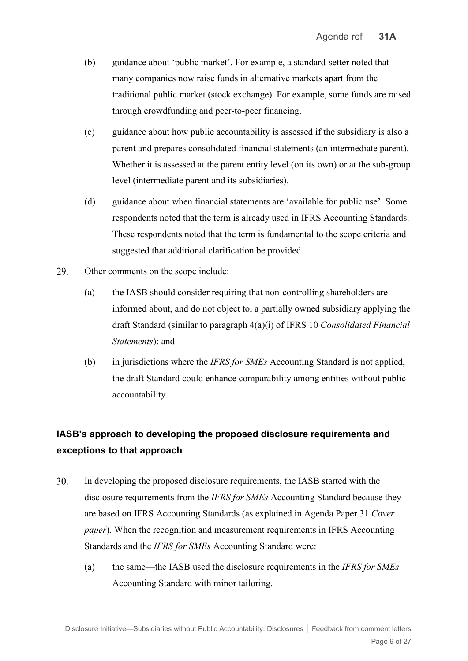- (b) guidance about 'public market'. For example, a standard-setter noted that many companies now raise funds in alternative markets apart from the traditional public market (stock exchange). For example, some funds are raised through crowdfunding and peer-to-peer financing.
- (c) guidance about how public accountability is assessed if the subsidiary is also a parent and prepares consolidated financial statements (an intermediate parent). Whether it is assessed at the parent entity level (on its own) or at the sub-group level (intermediate parent and its subsidiaries).
- (d) guidance about when financial statements are 'available for public use'. Some respondents noted that the term is already used in IFRS Accounting Standards. These respondents noted that the term is fundamental to the scope criteria and suggested that additional clarification be provided.
- <span id="page-8-0"></span>29. Other comments on the scope include:
	- (a) the IASB should consider requiring that non-controlling shareholders are informed about, and do not object to, a partially owned subsidiary applying the draft Standard (similar to paragraph 4(a)(i) of IFRS 10 *Consolidated Financial Statements*); and
	- (b) in jurisdictions where the *IFRS for SMEs* Accounting Standard is not applied, the draft Standard could enhance comparability among entities without public accountability.

# **IASB's approach to developing the proposed disclosure requirements and exceptions to that approach**

- <span id="page-8-1"></span>30. In developing the proposed disclosure requirements, the IASB started with the disclosure requirements from the *IFRS for SMEs* Accounting Standard because they are based on IFRS Accounting Standards (as explained in Agenda Paper 31 *Cover paper*). When the recognition and measurement requirements in IFRS Accounting Standards and the *IFRS for SMEs* Accounting Standard were:
	- (a) the same—the IASB used the disclosure requirements in the *IFRS for SMEs*  Accounting Standard with minor tailoring.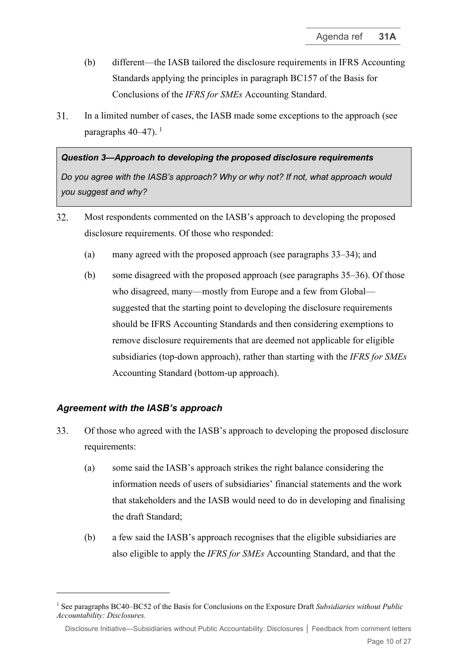- (b) different—the IASB tailored the disclosure requirements in IFRS Accounting Standards applying the principles in paragraph BC157 of the Basis for Conclusions of the *IFRS for SMEs* Accounting Standard.
- 31. In a limited number of cases, the IASB made some exceptions to the approach (see paragraphs [40–](#page-12-0)[47\)](#page-14-0).<sup>[1](#page-9-1)</sup>

## *Question 3—Approach to developing the proposed disclosure requirements*

*Do you agree with the IASB's approach? Why or why not? If not, what approach would you suggest and why?*

- 32. Most respondents commented on the IASB's approach to developing the proposed disclosure requirements. Of those who responded:
	- (a) many agreed with the proposed approach (see paragraphs [33–](#page-9-0)[34\)](#page-10-0); and
	- (b) some disagreed with the proposed approach (see paragraphs [35](#page-10-1)[–36\)](#page-11-0). Of those who disagreed, many—mostly from Europe and a few from Global suggested that the starting point to developing the disclosure requirements should be IFRS Accounting Standards and then considering exemptions to remove disclosure requirements that are deemed not applicable for eligible subsidiaries (top-down approach), rather than starting with the *IFRS for SMEs* Accounting Standard (bottom-up approach).

## *Agreement with the IASB's approach*

- <span id="page-9-0"></span>33. Of those who agreed with the IASB's approach to developing the proposed disclosure requirements:
	- (a) some said the IASB's approach strikes the right balance considering the information needs of users of subsidiaries' financial statements and the work that stakeholders and the IASB would need to do in developing and finalising the draft Standard;
	- (b) a few said the IASB's approach recognises that the eligible subsidiaries are also eligible to apply the *IFRS for SMEs* Accounting Standard, and that the

<span id="page-9-1"></span><sup>1</sup> See paragraphs BC40–BC52 of the Basis for Conclusions on the Exposure Draft *Subsidiaries without Public Accountability: Disclosures.*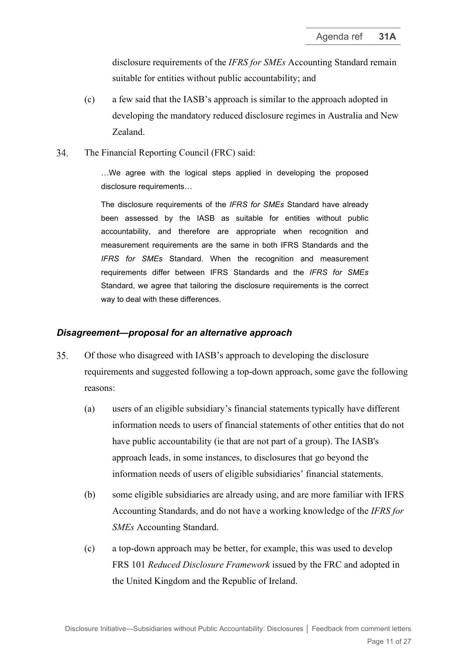disclosure requirements of the *IFRS for SMEs* Accounting Standard remain suitable for entities without public accountability; and

- (c) a few said that the IASB's approach is similar to the approach adopted in developing the mandatory reduced disclosure regimes in Australia and New Zealand.
- <span id="page-10-0"></span>34. The Financial Reporting Council (FRC) said:

…We agree with the logical steps applied in developing the proposed disclosure requirements…

The disclosure requirements of the *IFRS for SMEs* Standard have already been assessed by the IASB as suitable for entities without public accountability, and therefore are appropriate when recognition and measurement requirements are the same in both IFRS Standards and the *IFRS for SMEs* Standard. When the recognition and measurement requirements differ between IFRS Standards and the *IFRS for SMEs* Standard, we agree that tailoring the disclosure requirements is the correct way to deal with these differences.

#### *Disagreement—proposal for an alternative approach*

- <span id="page-10-1"></span>35. Of those who disagreed with IASB's approach to developing the disclosure requirements and suggested following a top-down approach, some gave the following reasons:
	- (a) users of an eligible subsidiary's financial statements typically have different information needs to users of financial statements of other entities that do not have public accountability (ie that are not part of a group). The IASB's approach leads, in some instances, to disclosures that go beyond the information needs of users of eligible subsidiaries' financial statements.
	- (b) some eligible subsidiaries are already using, and are more familiar with IFRS Accounting Standards, and do not have a working knowledge of the *IFRS for SMEs* Accounting Standard.
	- (c) a top-down approach may be better, for example, this was used to develop FRS 101 *Reduced Disclosure Framework* issued by the FRC and adopted in the United Kingdom and the Republic of Ireland.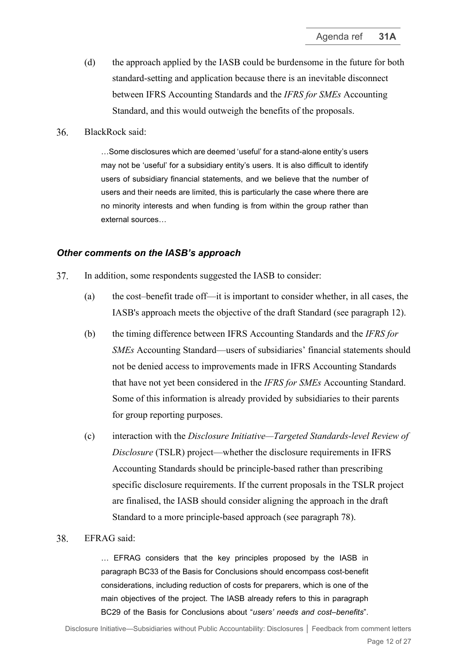- (d) the approach applied by the IASB could be burdensome in the future for both standard-setting and application because there is an inevitable disconnect between IFRS Accounting Standards and the *IFRS for SMEs* Accounting Standard, and this would outweigh the benefits of the proposals.
- <span id="page-11-0"></span>36. BlackRock said:

…Some disclosures which are deemed 'useful' for a stand-alone entity's users may not be 'useful' for a subsidiary entity's users. It is also difficult to identify users of subsidiary financial statements, and we believe that the number of users and their needs are limited, this is particularly the case where there are no minority interests and when funding is from within the group rather than external sources…

#### *Other comments on the IASB's approach*

- In addition, some respondents suggested the IASB to consider: 37.
	- (a) the cost–benefit trade off—it is important to consider whether, in all cases, the IASB's approach meets the objective of the draft Standard (see paragraph [12\)](#page-2-1).
	- (b) the timing difference between IFRS Accounting Standards and the *IFRS for SMEs* Accounting Standard—users of subsidiaries' financial statements should not be denied access to improvements made in IFRS Accounting Standards that have not yet been considered in the *IFRS for SMEs* Accounting Standard. Some of this information is already provided by subsidiaries to their parents for group reporting purposes.
	- (c) interaction with the *Disclosure Initiative—Targeted Standards-level Review of Disclosure* (TSLR) project—whether the disclosure requirements in IFRS Accounting Standards should be principle-based rather than prescribing specific disclosure requirements. If the current proposals in the TSLR project are finalised, the IASB should consider aligning the approach in the draft Standard to a more principle-based approach (see paragraph [78\)](#page-23-0).

#### 38. EFRAG said:

… EFRAG considers that the key principles proposed by the IASB in paragraph BC33 of the Basis for Conclusions should encompass cost-benefit considerations, including reduction of costs for preparers, which is one of the main objectives of the project. The IASB already refers to this in paragraph BC29 of the Basis for Conclusions about "*users' needs and cost–benefits*".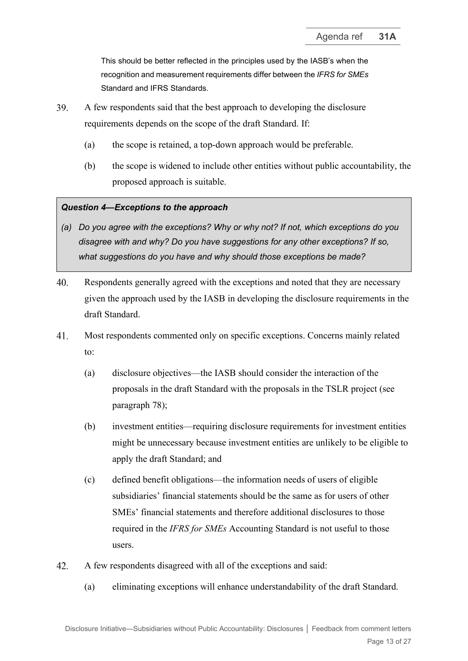This should be better reflected in the principles used by the IASB's when the recognition and measurement requirements differ between the *IFRS for SMEs* Standard and IFRS Standards.

- 39. A few respondents said that the best approach to developing the disclosure requirements depends on the scope of the draft Standard. If:
	- (a) the scope is retained, a top-down approach would be preferable.
	- (b) the scope is widened to include other entities without public accountability, the proposed approach is suitable.

#### *Question 4—Exceptions to the approach*

- *(a) Do you agree with the exceptions? Why or why not? If not, which exceptions do you disagree with and why? Do you have suggestions for any other exceptions? If so, what suggestions do you have and why should those exceptions be made?*
- <span id="page-12-0"></span> $40<sub>1</sub>$ Respondents generally agreed with the exceptions and noted that they are necessary given the approach used by the IASB in developing the disclosure requirements in the draft Standard.
- <span id="page-12-1"></span>41. Most respondents commented only on specific exceptions. Concerns mainly related to:
	- (a) disclosure objectives—the IASB should consider the interaction of the proposals in the draft Standard with the proposals in the TSLR project (see paragraph [78\)](#page-23-0);
	- (b) investment entities—requiring disclosure requirements for investment entities might be unnecessary because investment entities are unlikely to be eligible to apply the draft Standard; and
	- (c) defined benefit obligations—the information needs of users of eligible subsidiaries' financial statements should be the same as for users of other SMEs' financial statements and therefore additional disclosures to those required in the *IFRS for SMEs* Accounting Standard is not useful to those users.
- 42. A few respondents disagreed with all of the exceptions and said:
	- (a) eliminating exceptions will enhance understandability of the draft Standard.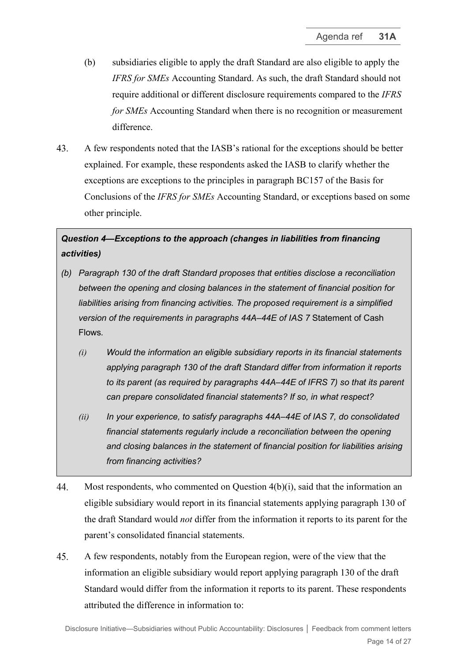- (b) subsidiaries eligible to apply the draft Standard are also eligible to apply the *IFRS for SMEs* Accounting Standard. As such, the draft Standard should not require additional or different disclosure requirements compared to the *IFRS for SMEs* Accounting Standard when there is no recognition or measurement difference.
- 43. A few respondents noted that the IASB's rational for the exceptions should be better explained. For example, these respondents asked the IASB to clarify whether the exceptions are exceptions to the principles in paragraph BC157 of the Basis for Conclusions of the *IFRS for SMEs* Accounting Standard, or exceptions based on some other principle.

## *Question 4—Exceptions to the approach (changes in liabilities from financing activities)*

- *(b) Paragraph 130 of the draft Standard proposes that entities disclose a reconciliation between the opening and closing balances in the statement of financial position for liabilities arising from financing activities. The proposed requirement is a simplified version of the requirements in paragraphs 44A–44E of IAS 7* Statement of Cash Flows*.*
	- *(i) Would the information an eligible subsidiary reports in its financial statements applying paragraph 130 of the draft Standard differ from information it reports to its parent (as required by paragraphs 44A–44E of IFRS 7) so that its parent can prepare consolidated financial statements? If so, in what respect?*
	- *(ii) In your experience, to satisfy paragraphs 44A–44E of IAS 7, do consolidated financial statements regularly include a reconciliation between the opening and closing balances in the statement of financial position for liabilities arising from financing activities?*
- 44. Most respondents, who commented on Question  $4(b)(i)$ , said that the information an eligible subsidiary would report in its financial statements applying paragraph 130 of the draft Standard would *not* differ from the information it reports to its parent for the parent's consolidated financial statements.
- 45. A few respondents, notably from the European region, were of the view that the information an eligible subsidiary would report applying paragraph 130 of the draft Standard would differ from the information it reports to its parent. These respondents attributed the difference in information to: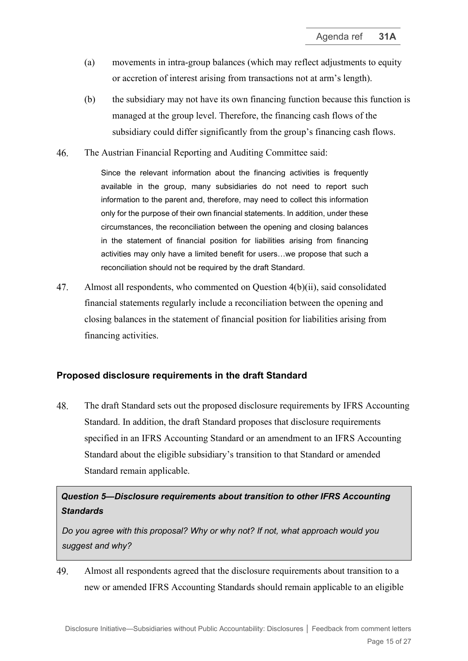- (a) movements in intra-group balances (which may reflect adjustments to equity or accretion of interest arising from transactions not at arm's length).
- (b) the subsidiary may not have its own financing function because this function is managed at the group level. Therefore, the financing cash flows of the subsidiary could differ significantly from the group's financing cash flows.
- 46. The Austrian Financial Reporting and Auditing Committee said:

Since the relevant information about the financing activities is frequently available in the group, many subsidiaries do not need to report such information to the parent and, therefore, may need to collect this information only for the purpose of their own financial statements. In addition, under these circumstances, the reconciliation between the opening and closing balances in the statement of financial position for liabilities arising from financing activities may only have a limited benefit for users…we propose that such a reconciliation should not be required by the draft Standard.

<span id="page-14-0"></span>47. Almost all respondents, who commented on Question 4(b)(ii), said consolidated financial statements regularly include a reconciliation between the opening and closing balances in the statement of financial position for liabilities arising from financing activities.

## **Proposed disclosure requirements in the draft Standard**

<span id="page-14-1"></span>48. The draft Standard sets out the proposed disclosure requirements by IFRS Accounting Standard. In addition, the draft Standard proposes that disclosure requirements specified in an IFRS Accounting Standard or an amendment to an IFRS Accounting Standard about the eligible subsidiary's transition to that Standard or amended Standard remain applicable.

*Question 5—Disclosure requirements about transition to other IFRS Accounting Standards*

*Do you agree with this proposal? Why or why not? If not, what approach would you suggest and why?*

49. Almost all respondents agreed that the disclosure requirements about transition to a new or amended IFRS Accounting Standards should remain applicable to an eligible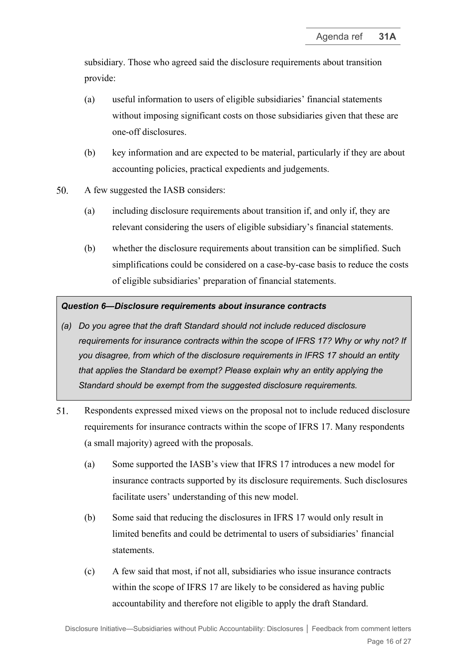subsidiary. Those who agreed said the disclosure requirements about transition provide:

- (a) useful information to users of eligible subsidiaries' financial statements without imposing significant costs on those subsidiaries given that these are one-off disclosures.
- (b) key information and are expected to be material, particularly if they are about accounting policies, practical expedients and judgements.
- $50<sub>1</sub>$ A few suggested the IASB considers:
	- (a) including disclosure requirements about transition if, and only if, they are relevant considering the users of eligible subsidiary's financial statements.
	- (b) whether the disclosure requirements about transition can be simplified. Such simplifications could be considered on a case-by-case basis to reduce the costs of eligible subsidiaries' preparation of financial statements.

## *Question 6—Disclosure requirements about insurance contracts*

- *(a) Do you agree that the draft Standard should not include reduced disclosure requirements for insurance contracts within the scope of IFRS 17? Why or why not? If you disagree, from which of the disclosure requirements in IFRS 17 should an entity that applies the Standard be exempt? Please explain why an entity applying the Standard should be exempt from the suggested disclosure requirements.*
- <span id="page-15-0"></span>51. Respondents expressed mixed views on the proposal not to include reduced disclosure requirements for insurance contracts within the scope of IFRS 17. Many respondents (a small majority) agreed with the proposals.
	- (a) Some supported the IASB's view that IFRS 17 introduces a new model for insurance contracts supported by its disclosure requirements. Such disclosures facilitate users' understanding of this new model.
	- (b) Some said that reducing the disclosures in IFRS 17 would only result in limited benefits and could be detrimental to users of subsidiaries' financial statements.
	- (c) A few said that most, if not all, subsidiaries who issue insurance contracts within the scope of IFRS 17 are likely to be considered as having public accountability and therefore not eligible to apply the draft Standard.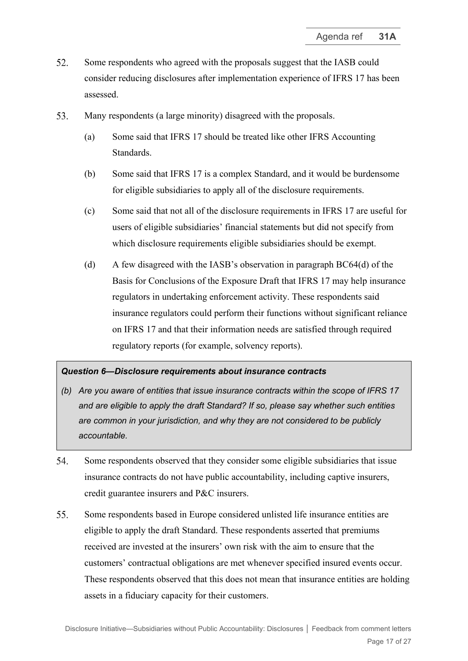- 52. Some respondents who agreed with the proposals suggest that the IASB could consider reducing disclosures after implementation experience of IFRS 17 has been assessed.
- <span id="page-16-1"></span>53. Many respondents (a large minority) disagreed with the proposals.
	- (a) Some said that IFRS 17 should be treated like other IFRS Accounting Standards.
	- (b) Some said that IFRS 17 is a complex Standard, and it would be burdensome for eligible subsidiaries to apply all of the disclosure requirements.
	- (c) Some said that not all of the disclosure requirements in IFRS 17 are useful for users of eligible subsidiaries' financial statements but did not specify from which disclosure requirements eligible subsidiaries should be exempt.
	- (d) A few disagreed with the IASB's observation in paragraph BC64(d) of the Basis for Conclusions of the Exposure Draft that IFRS 17 may help insurance regulators in undertaking enforcement activity. These respondents said insurance regulators could perform their functions without significant reliance on IFRS 17 and that their information needs are satisfied through required regulatory reports (for example, solvency reports).

#### *Question 6—Disclosure requirements about insurance contracts*

- *(b) Are you aware of entities that issue insurance contracts within the scope of IFRS 17 and are eligible to apply the draft Standard? If so, please say whether such entities are common in your jurisdiction, and why they are not considered to be publicly accountable.*
- $54$ Some respondents observed that they consider some eligible subsidiaries that issue insurance contracts do not have public accountability, including captive insurers, credit guarantee insurers and P&C insurers.
- <span id="page-16-0"></span>55. Some respondents based in Europe considered unlisted life insurance entities are eligible to apply the draft Standard. These respondents asserted that premiums received are invested at the insurers' own risk with the aim to ensure that the customers' contractual obligations are met whenever specified insured events occur. These respondents observed that this does not mean that insurance entities are holding assets in a fiduciary capacity for their customers.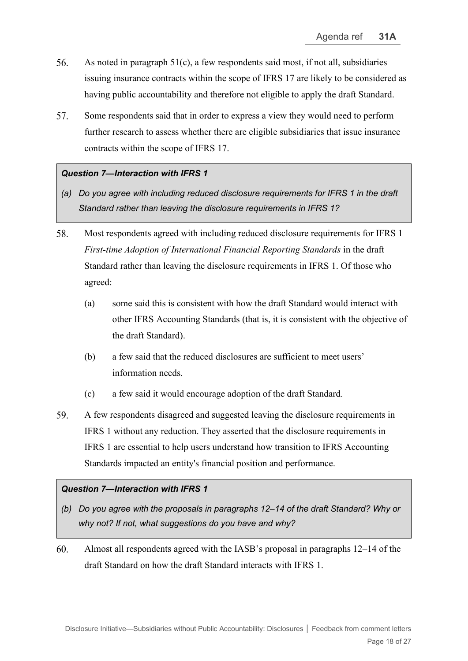- 56. As noted in paragraph [51\(c\),](#page-15-0) a few respondents said most, if not all, subsidiaries issuing insurance contracts within the scope of IFRS 17 are likely to be considered as having public accountability and therefore not eligible to apply the draft Standard.
- 57. Some respondents said that in order to express a view they would need to perform further research to assess whether there are eligible subsidiaries that issue insurance contracts within the scope of IFRS 17.

## *Question 7—Interaction with IFRS 1*

- *(a) Do you agree with including reduced disclosure requirements for IFRS 1 in the draft Standard rather than leaving the disclosure requirements in IFRS 1?*
- 58. Most respondents agreed with including reduced disclosure requirements for IFRS 1 *First-time Adoption of International Financial Reporting Standards* in the draft Standard rather than leaving the disclosure requirements in IFRS 1. Of those who agreed:
	- (a) some said this is consistent with how the draft Standard would interact with other IFRS Accounting Standards (that is, it is consistent with the objective of the draft Standard).
	- (b) a few said that the reduced disclosures are sufficient to meet users' information needs.
	- (c) a few said it would encourage adoption of the draft Standard.
- 59. A few respondents disagreed and suggested leaving the disclosure requirements in IFRS 1 without any reduction. They asserted that the disclosure requirements in IFRS 1 are essential to help users understand how transition to IFRS Accounting Standards impacted an entity's financial position and performance.

#### *Question 7—Interaction with IFRS 1*

- *(b) Do you agree with the proposals in paragraphs 12–14 of the draft Standard? Why or why not? If not, what suggestions do you have and why?*
- 60. Almost all respondents agreed with the IASB's proposal in paragraphs 12–14 of the draft Standard on how the draft Standard interacts with IFRS 1.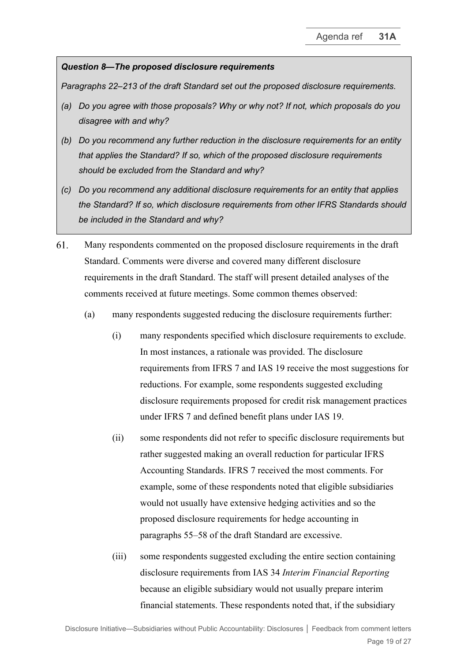## *Question 8—The proposed disclosure requirements*

*Paragraphs 22–213 of the draft Standard set out the proposed disclosure requirements.*

- *(a) Do you agree with those proposals? Why or why not? If not, which proposals do you disagree with and why?*
- *(b) Do you recommend any further reduction in the disclosure requirements for an entity that applies the Standard? If so, which of the proposed disclosure requirements should be excluded from the Standard and why?*
- *(c) Do you recommend any additional disclosure requirements for an entity that applies the Standard? If so, which disclosure requirements from other IFRS Standards should be included in the Standard and why?*
- <span id="page-18-0"></span>61. Many respondents commented on the proposed disclosure requirements in the draft Standard. Comments were diverse and covered many different disclosure requirements in the draft Standard. The staff will present detailed analyses of the comments received at future meetings. Some common themes observed:
	- (a) many respondents suggested reducing the disclosure requirements further:
		- (i) many respondents specified which disclosure requirements to exclude. In most instances, a rationale was provided. The disclosure requirements from IFRS 7 and IAS 19 receive the most suggestions for reductions. For example, some respondents suggested excluding disclosure requirements proposed for credit risk management practices under IFRS 7 and defined benefit plans under IAS 19.
		- (ii) some respondents did not refer to specific disclosure requirements but rather suggested making an overall reduction for particular IFRS Accounting Standards. IFRS 7 received the most comments. For example, some of these respondents noted that eligible subsidiaries would not usually have extensive hedging activities and so the proposed disclosure requirements for hedge accounting in paragraphs 55–58 of the draft Standard are excessive.
		- (iii) some respondents suggested excluding the entire section containing disclosure requirements from IAS 34 *Interim Financial Reporting* because an eligible subsidiary would not usually prepare interim financial statements. These respondents noted that, if the subsidiary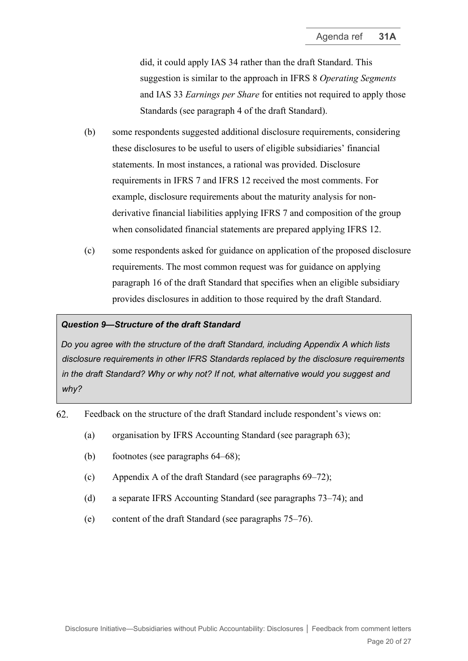did, it could apply IAS 34 rather than the draft Standard. This suggestion is similar to the approach in IFRS 8 *Operating Segments*  and IAS 33 *Earnings per Share* for entities not required to apply those Standards (see paragraph 4 of the draft Standard).

- (b) some respondents suggested additional disclosure requirements, considering these disclosures to be useful to users of eligible subsidiaries' financial statements. In most instances, a rational was provided. Disclosure requirements in IFRS 7 and IFRS 12 received the most comments. For example, disclosure requirements about the maturity analysis for nonderivative financial liabilities applying IFRS 7 and composition of the group when consolidated financial statements are prepared applying IFRS 12.
- (c) some respondents asked for guidance on application of the proposed disclosure requirements. The most common request was for guidance on applying paragraph 16 of the draft Standard that specifies when an eligible subsidiary provides disclosures in addition to those required by the draft Standard.

#### *Question 9—Structure of the draft Standard*

*Do you agree with the structure of the draft Standard, including Appendix A which lists disclosure requirements in other IFRS Standards replaced by the disclosure requirements in the draft Standard? Why or why not? If not, what alternative would you suggest and why?*

- <span id="page-19-0"></span>62. Feedback on the structure of the draft Standard include respondent's views on:
	- (a) organisation by IFRS Accounting Standard (see paragraph [63\)](#page-20-0);
	- (b) footnotes (see paragraphs [64](#page-20-1)[–68\)](#page-20-2);
	- (c) Appendix A of the draft Standard (see paragraphs [69–](#page-21-0)[72\)](#page-21-1);
	- (d) a separate IFRS Accounting Standard (see paragraphs [73](#page-21-2)[–74\)](#page-22-2); and
	- (e) content of the draft Standard (see paragraphs [75–](#page-22-3)[76\)](#page-22-0).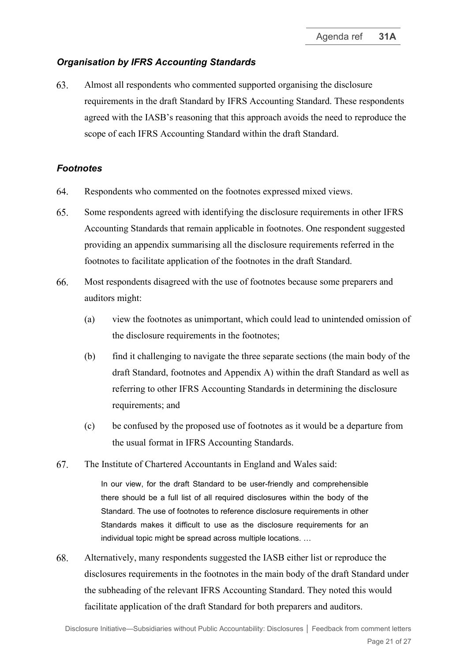## *Organisation by IFRS Accounting Standards*

<span id="page-20-0"></span>63. Almost all respondents who commented supported organising the disclosure requirements in the draft Standard by IFRS Accounting Standard. These respondents agreed with the IASB's reasoning that this approach avoids the need to reproduce the scope of each IFRS Accounting Standard within the draft Standard.

## *Footnotes*

- <span id="page-20-1"></span>64. Respondents who commented on the footnotes expressed mixed views.
- 65. Some respondents agreed with identifying the disclosure requirements in other IFRS Accounting Standards that remain applicable in footnotes. One respondent suggested providing an appendix summarising all the disclosure requirements referred in the footnotes to facilitate application of the footnotes in the draft Standard.
- 66. Most respondents disagreed with the use of footnotes because some preparers and auditors might:
	- (a) view the footnotes as unimportant, which could lead to unintended omission of the disclosure requirements in the footnotes;
	- (b) find it challenging to navigate the three separate sections (the main body of the draft Standard, footnotes and Appendix A) within the draft Standard as well as referring to other IFRS Accounting Standards in determining the disclosure requirements; and
	- (c) be confused by the proposed use of footnotes as it would be a departure from the usual format in IFRS Accounting Standards.
- 67. The Institute of Chartered Accountants in England and Wales said:

In our view, for the draft Standard to be user-friendly and comprehensible there should be a full list of all required disclosures within the body of the Standard. The use of footnotes to reference disclosure requirements in other Standards makes it difficult to use as the disclosure requirements for an individual topic might be spread across multiple locations. …

<span id="page-20-2"></span>68. Alternatively, many respondents suggested the IASB either list or reproduce the disclosures requirements in the footnotes in the main body of the draft Standard under the subheading of the relevant IFRS Accounting Standard. They noted this would facilitate application of the draft Standard for both preparers and auditors.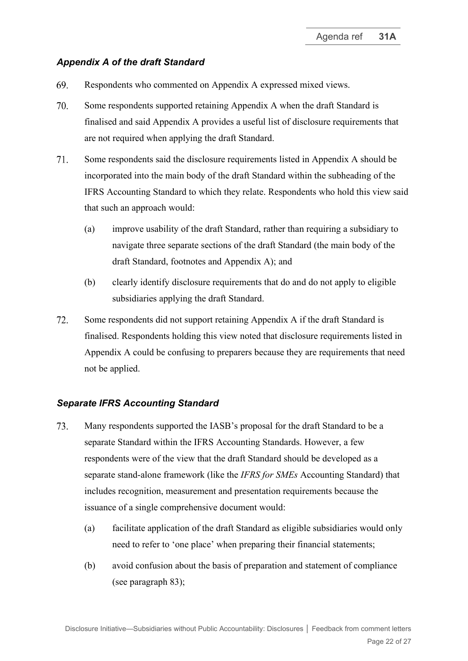## *Appendix A of the draft Standard*

- <span id="page-21-0"></span>69. Respondents who commented on Appendix A expressed mixed views.
- 70. Some respondents supported retaining Appendix A when the draft Standard is finalised and said Appendix A provides a useful list of disclosure requirements that are not required when applying the draft Standard.
- 71. Some respondents said the disclosure requirements listed in Appendix A should be incorporated into the main body of the draft Standard within the subheading of the IFRS Accounting Standard to which they relate. Respondents who hold this view said that such an approach would:
	- (a) improve usability of the draft Standard, rather than requiring a subsidiary to navigate three separate sections of the draft Standard (the main body of the draft Standard, footnotes and Appendix A); and
	- (b) clearly identify disclosure requirements that do and do not apply to eligible subsidiaries applying the draft Standard.
- <span id="page-21-1"></span>72. Some respondents did not support retaining Appendix A if the draft Standard is finalised. Respondents holding this view noted that disclosure requirements listed in Appendix A could be confusing to preparers because they are requirements that need not be applied.

#### *Separate IFRS Accounting Standard*

- <span id="page-21-2"></span>73. Many respondents supported the IASB's proposal for the draft Standard to be a separate Standard within the IFRS Accounting Standards. However, a few respondents were of the view that the draft Standard should be developed as a separate stand-alone framework (like the *IFRS for SMEs* Accounting Standard) that includes recognition, measurement and presentation requirements because the issuance of a single comprehensive document would:
	- (a) facilitate application of the draft Standard as eligible subsidiaries would only need to refer to 'one place' when preparing their financial statements;
	- (b) avoid confusion about the basis of preparation and statement of compliance (see paragraph [83\)](#page-24-0);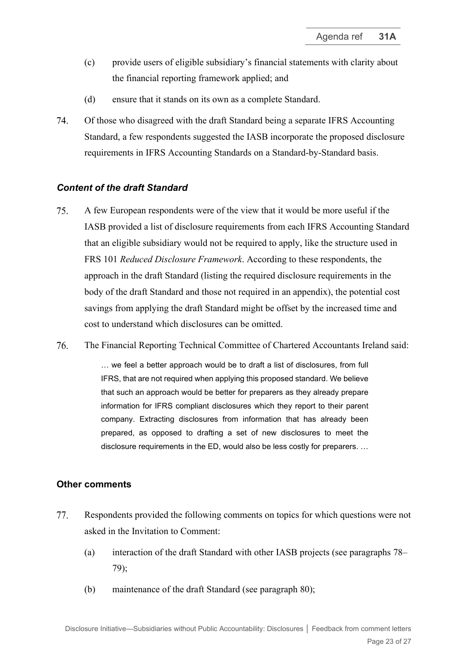- (c) provide users of eligible subsidiary's financial statements with clarity about the financial reporting framework applied; and
- (d) ensure that it stands on its own as a complete Standard.
- <span id="page-22-2"></span>74. Of those who disagreed with the draft Standard being a separate IFRS Accounting Standard, a few respondents suggested the IASB incorporate the proposed disclosure requirements in IFRS Accounting Standards on a Standard-by-Standard basis.

## *Content of the draft Standard*

- <span id="page-22-3"></span>75. A few European respondents were of the view that it would be more useful if the IASB provided a list of disclosure requirements from each IFRS Accounting Standard that an eligible subsidiary would not be required to apply, like the structure used in FRS 101 *Reduced Disclosure Framework*. According to these respondents, the approach in the draft Standard (listing the required disclosure requirements in the body of the draft Standard and those not required in an appendix), the potential cost savings from applying the draft Standard might be offset by the increased time and cost to understand which disclosures can be omitted.
- <span id="page-22-0"></span>76. The Financial Reporting Technical Committee of Chartered Accountants Ireland said:

… we feel a better approach would be to draft a list of disclosures, from full IFRS, that are not required when applying this proposed standard. We believe that such an approach would be better for preparers as they already prepare information for IFRS compliant disclosures which they report to their parent company. Extracting disclosures from information that has already been prepared, as opposed to drafting a set of new disclosures to meet the disclosure requirements in the ED, would also be less costly for preparers. …

#### **Other comments**

- <span id="page-22-1"></span>77. Respondents provided the following comments on topics for which questions were not asked in the Invitation to Comment:
	- (a) interaction of the draft Standard with other IASB projects (see paragraphs [78–](#page-23-0) [79\)](#page-23-1);
	- (b) maintenance of the draft Standard (see paragraph [80\)](#page-23-2);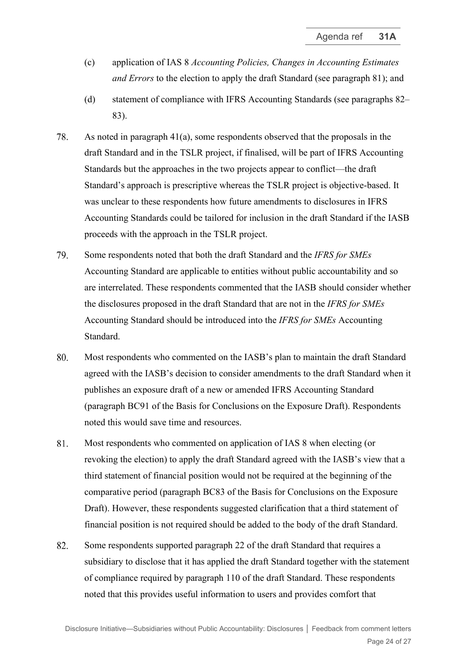- (c) application of IAS 8 *Accounting Policies, Changes in Accounting Estimates and Errors* to the election to apply the draft Standard (see paragraph [81\)](#page-23-3); and
- (d) statement of compliance with IFRS Accounting Standards (see paragraphs [82–](#page-23-4) [83\)](#page-24-0).
- <span id="page-23-0"></span>78. As noted in paragraph [41\(a\),](#page-12-1) some respondents observed that the proposals in the draft Standard and in the TSLR project, if finalised, will be part of IFRS Accounting Standards but the approaches in the two projects appear to conflict—the draft Standard's approach is prescriptive whereas the TSLR project is objective-based. It was unclear to these respondents how future amendments to disclosures in IFRS Accounting Standards could be tailored for inclusion in the draft Standard if the IASB proceeds with the approach in the TSLR project.
- <span id="page-23-1"></span>79. Some respondents noted that both the draft Standard and the *IFRS for SMEs* Accounting Standard are applicable to entities without public accountability and so are interrelated. These respondents commented that the IASB should consider whether the disclosures proposed in the draft Standard that are not in the *IFRS for SMEs*  Accounting Standard should be introduced into the *IFRS for SMEs* Accounting Standard.
- <span id="page-23-2"></span>80. Most respondents who commented on the IASB's plan to maintain the draft Standard agreed with the IASB's decision to consider amendments to the draft Standard when it publishes an exposure draft of a new or amended IFRS Accounting Standard (paragraph BC91 of the Basis for Conclusions on the Exposure Draft). Respondents noted this would save time and resources.
- <span id="page-23-3"></span>81. Most respondents who commented on application of IAS 8 when electing (or revoking the election) to apply the draft Standard agreed with the IASB's view that a third statement of financial position would not be required at the beginning of the comparative period (paragraph BC83 of the Basis for Conclusions on the Exposure Draft). However, these respondents suggested clarification that a third statement of financial position is not required should be added to the body of the draft Standard.
- <span id="page-23-4"></span>Some respondents supported paragraph 22 of the draft Standard that requires a 82. subsidiary to disclose that it has applied the draft Standard together with the statement of compliance required by paragraph 110 of the draft Standard. These respondents noted that this provides useful information to users and provides comfort that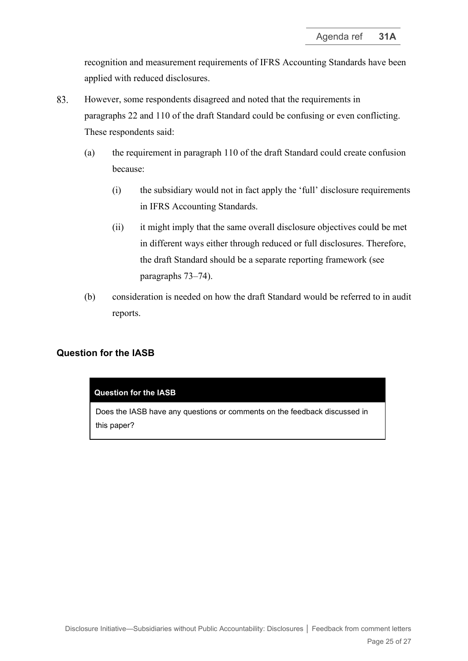recognition and measurement requirements of IFRS Accounting Standards have been applied with reduced disclosures.

- <span id="page-24-0"></span>83. However, some respondents disagreed and noted that the requirements in paragraphs 22 and 110 of the draft Standard could be confusing or even conflicting. These respondents said:
	- (a) the requirement in paragraph 110 of the draft Standard could create confusion because:
		- (i) the subsidiary would not in fact apply the 'full' disclosure requirements in IFRS Accounting Standards.
		- (ii) it might imply that the same overall disclosure objectives could be met in different ways either through reduced or full disclosures. Therefore, the draft Standard should be a separate reporting framework (see paragraphs [73–](#page-21-2)[74\)](#page-22-2).
	- (b) consideration is needed on how the draft Standard would be referred to in audit reports.

## **Question for the IASB**

#### **Question for the IASB**

Does the IASB have any questions or comments on the feedback discussed in this paper?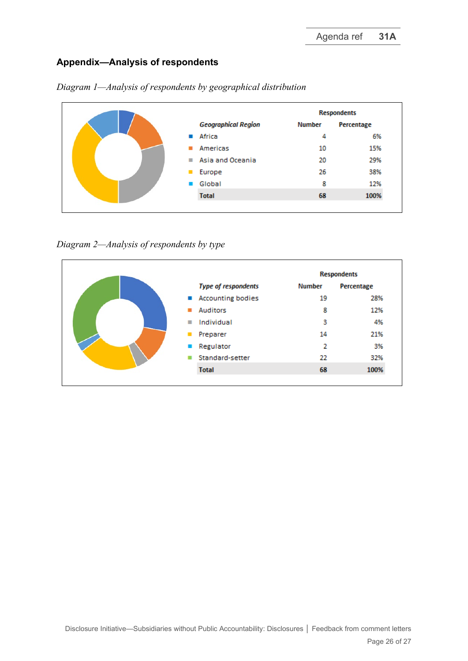## **Appendix—Analysis of respondents**

|  |                            | <b>Respondents</b> |            |  |
|--|----------------------------|--------------------|------------|--|
|  | <b>Geographical Region</b> | Number             | Percentage |  |
|  | Africa<br>and the          | 4                  | 6%         |  |
|  | Americas                   | 10                 | 15%        |  |
|  | Asia and Oceania<br>п      | 20                 | 29%        |  |
|  | Europe<br>▪                | 26                 | 38%        |  |
|  | Global                     | 8                  | 12%        |  |
|  | <b>Total</b>               | 68                 | 100%       |  |
|  |                            |                    |            |  |

*Diagram 1—Analysis of respondents by geographical distribution* 

*Diagram 2—Analysis of respondents by type*